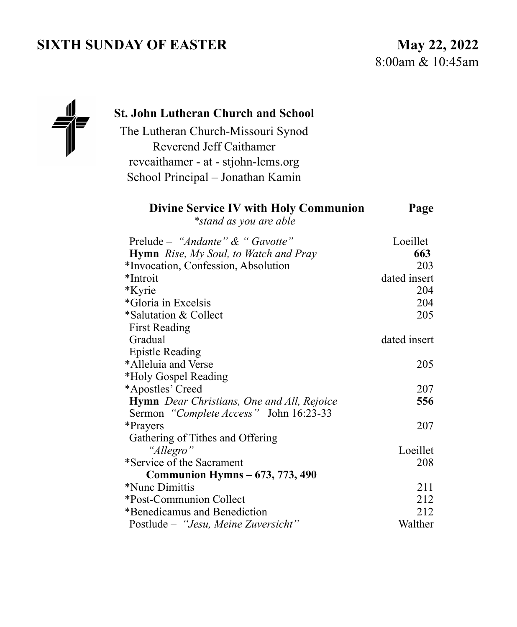# **SIXTH SUNDAY OF EASTER** May 22, 2022

8:00am & 10:45am



### **St. John Lutheran Church and School**

The Lutheran Church-Missouri Synod Reverend Jeff Caithamer revcaithamer - at - stjohn-lcms.org School Principal – Jonathan Kamin

#### **Divine Service IV with Holy Communion Page**

*\*stand as you are able* 

| Prelude – "Andante" & " Gavotte"                  | Loeillet     |
|---------------------------------------------------|--------------|
| <b>Hymn</b> Rise, My Soul, to Watch and Pray      | 663          |
| *Invocation, Confession, Absolution               | 203          |
| *Introit                                          | dated insert |
| *Kyrie                                            | 204          |
| *Gloria in Excelsis                               | 204          |
| *Salutation & Collect                             | 205          |
| <b>First Reading</b>                              |              |
| Gradual                                           | dated insert |
| <b>Epistle Reading</b>                            |              |
| *Alleluia and Verse                               | 205          |
| *Holy Gospel Reading                              |              |
| *Apostles' Creed                                  | 207          |
| <b>Hymn</b> Dear Christians, One and All, Rejoice | 556          |
| Sermon "Complete Access" John 16:23-33            |              |
| *Prayers                                          | 207          |
| Gathering of Tithes and Offering                  |              |
| "Allegro"                                         | Loeillet     |
| *Service of the Sacrament                         | 208          |
| <b>Communion Hymns – 673, 773, 490</b>            |              |
| *Nunc Dimittis                                    | 211          |
| *Post-Communion Collect                           | 212          |
| *Benedicamus and Benediction                      | 212          |
| Postlude – "Jesu, Meine Zuversicht"               | Walther      |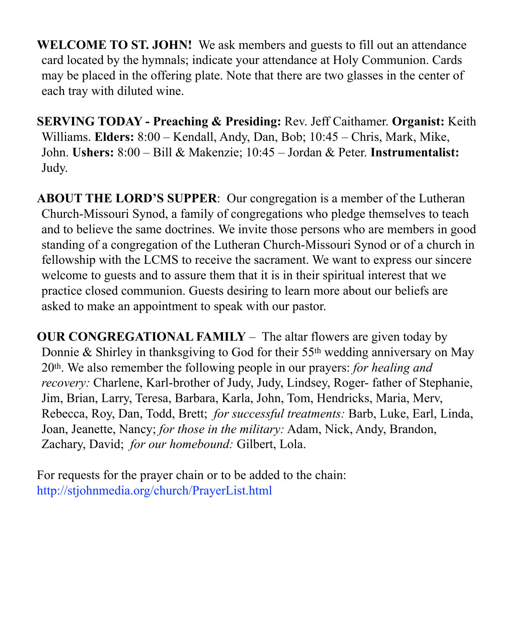**WELCOME TO ST. JOHN!** We ask members and guests to fill out an attendance card located by the hymnals; indicate your attendance at Holy Communion. Cards may be placed in the offering plate. Note that there are two glasses in the center of each tray with diluted wine.

**SERVING TODAY - Preaching & Presiding:** Rev. Jeff Caithamer. **Organist:** Keith Williams. **Elders:** 8:00 – Kendall, Andy, Dan, Bob; 10:45 – Chris, Mark, Mike, John. **Ushers:** 8:00 – Bill & Makenzie; 10:45 – Jordan & Peter. **Instrumentalist:**  Judy.

**ABOUT THE LORD'S SUPPER**: Our congregation is a member of the Lutheran Church-Missouri Synod, a family of congregations who pledge themselves to teach and to believe the same doctrines. We invite those persons who are members in good standing of a congregation of the Lutheran Church-Missouri Synod or of a church in fellowship with the LCMS to receive the sacrament. We want to express our sincere welcome to guests and to assure them that it is in their spiritual interest that we practice closed communion. Guests desiring to learn more about our beliefs are asked to make an appointment to speak with our pastor.

**OUR CONGREGATIONAL FAMILY** *–* The altar flowers are given today by Donnie & Shirley in thanksgiving to God for their 55th wedding anniversary on May 20th. We also remember the following people in our prayers: *for healing and recovery:* Charlene, Karl-brother of Judy, Judy, Lindsey, Roger- father of Stephanie, Jim, Brian, Larry, Teresa, Barbara, Karla, John, Tom, Hendricks, Maria, Merv, Rebecca, Roy, Dan, Todd, Brett; *for successful treatments:* Barb, Luke, Earl, Linda, Joan, Jeanette, Nancy; *for those in the military:* Adam, Nick, Andy, Brandon, Zachary, David; *for our homebound:* Gilbert, Lola.

For requests for the prayer chain or to be added to the chain: http://stjohnmedia.org/church/PrayerList.html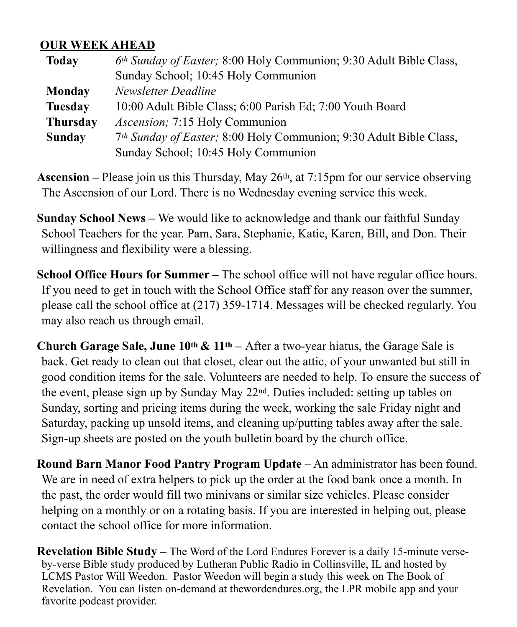#### **OUR WEEK AHEAD**

| <b>Today</b>    | 6th Sunday of Easter; 8:00 Holy Communion; 9:30 Adult Bible Class, |  |
|-----------------|--------------------------------------------------------------------|--|
|                 | Sunday School; 10:45 Holy Communion                                |  |
| Monday          | Newsletter Deadline                                                |  |
| <b>Tuesday</b>  | 10:00 Adult Bible Class; 6:00 Parish Ed; 7:00 Youth Board          |  |
| <b>Thursday</b> | Ascension; 7:15 Holy Communion                                     |  |
| <b>Sunday</b>   | 7th Sunday of Easter; 8:00 Holy Communion; 9:30 Adult Bible Class, |  |
|                 | Sunday School; 10:45 Holy Communion                                |  |

**Ascension –** Please join us this Thursday, May 26th, at 7:15pm for our service observing The Ascension of our Lord. There is no Wednesday evening service this week.

**Sunday School News –** We would like to acknowledge and thank our faithful Sunday School Teachers for the year. Pam, Sara, Stephanie, Katie, Karen, Bill, and Don. Their willingness and flexibility were a blessing.

**School Office Hours for Summer –** The school office will not have regular office hours. If you need to get in touch with the School Office staff for any reason over the summer, please call the school office at (217) 359-1714. Messages will be checked regularly. You may also reach us through email.

**Church Garage Sale, June 10th & 11th –** After a two-year hiatus, the Garage Sale is back. Get ready to clean out that closet, clear out the attic, of your unwanted but still in good condition items for the sale. Volunteers are needed to help. To ensure the success of the event, please sign up by Sunday May 22nd. Duties included: setting up tables on Sunday, sorting and pricing items during the week, working the sale Friday night and Saturday, packing up unsold items, and cleaning up/putting tables away after the sale. Sign-up sheets are posted on the youth bulletin board by the church office.

**Round Barn Manor Food Pantry Program Update –** An administrator has been found. We are in need of extra helpers to pick up the order at the food bank once a month. In the past, the order would fill two minivans or similar size vehicles. Please consider helping on a monthly or on a rotating basis. If you are interested in helping out, please contact the school office for more information.

**Revelation Bible Study –** The Word of the Lord Endures Forever is a daily 15-minute verseby-verse Bible study produced by Lutheran Public Radio in Collinsville, IL and hosted by LCMS Pastor Will Weedon. Pastor Weedon will begin a study this week on The Book of Revelation. You can listen on-demand at thewordendures.org, the LPR mobile app and your favorite podcast provider.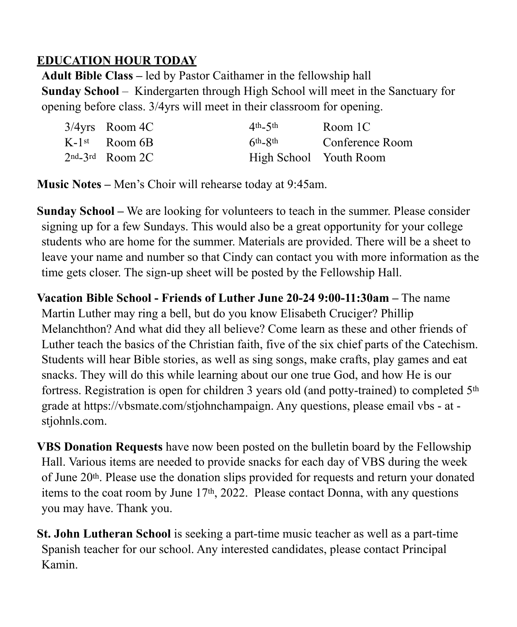## **EDUCATION HOUR TODAY**

**Adult Bible Class –** led by Pastor Caithamer in the fellowship hall **Sunday School** – Kindergarten through High School will meet in the Sanctuary for opening before class. 3/4yrs will meet in their classroom for opening.

| $3/4yrs$ Room 4C            | $4th-5th$              | Room 1C         |
|-----------------------------|------------------------|-----------------|
| $K-1$ <sup>st</sup> Room 6B | $6th$ - $8th$          | Conference Room |
| $2nd - 3rd$ Room 2C         | High School Youth Room |                 |

**Music Notes –** Men's Choir will rehearse today at 9:45am.

**Sunday School –** We are looking for volunteers to teach in the summer. Please consider signing up for a few Sundays. This would also be a great opportunity for your college students who are home for the summer. Materials are provided. There will be a sheet to leave your name and number so that Cindy can contact you with more information as the time gets closer. The sign-up sheet will be posted by the Fellowship Hall.

**Vacation Bible School - Friends of Luther June 20-24 9:00-11:30am –** The name Martin Luther may ring a bell, but do you know Elisabeth Cruciger? Phillip Melanchthon? And what did they all believe? Come learn as these and other friends of Luther teach the basics of the Christian faith, five of the six chief parts of the Catechism. Students will hear Bible stories, as well as sing songs, make crafts, play games and eat snacks. They will do this while learning about our one true God, and how He is our fortress. Registration is open for children 3 years old (and potty-trained) to completed 5th grade at https://vbsmate.com/stjohnchampaign. Any questions, please email vbs - at stjohnls.com.

**VBS Donation Requests** have now been posted on the bulletin board by the Fellowship Hall. Various items are needed to provide snacks for each day of VBS during the week of June 20th. Please use the donation slips provided for requests and return your donated items to the coat room by June 17th, 2022. Please contact Donna, with any questions you may have. Thank you.

**St. John Lutheran School** is seeking a part-time music teacher as well as a part-time Spanish teacher for our school. Any interested candidates, please contact Principal Kamin.